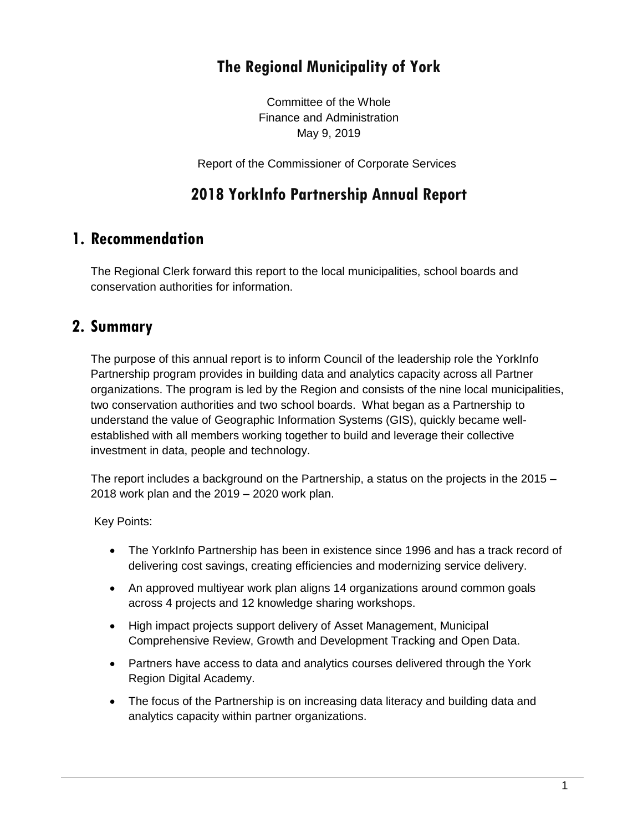# **The Regional Municipality of York**

Committee of the Whole Finance and Administration May 9, 2019

Report of the Commissioner of Corporate Services

# **2018 YorkInfo Partnership Annual Report**

## **1. Recommendation**

The Regional Clerk forward this report to the local municipalities, school boards and conservation authorities for information.

## **2. Summary**

The purpose of this annual report is to inform Council of the leadership role the YorkInfo Partnership program provides in building data and analytics capacity across all Partner organizations. The program is led by the Region and consists of the nine local municipalities, two conservation authorities and two school boards. What began as a Partnership to understand the value of Geographic Information Systems (GIS), quickly became wellestablished with all members working together to build and leverage their collective investment in data, people and technology.

The report includes a background on the Partnership, a status on the projects in the 2015 – 2018 work plan and the 2019 – 2020 work plan.

Key Points:

- The YorkInfo Partnership has been in existence since 1996 and has a track record of delivering cost savings, creating efficiencies and modernizing service delivery.
- An approved multiyear work plan aligns 14 organizations around common goals across 4 projects and 12 knowledge sharing workshops.
- High impact projects support delivery of Asset Management, Municipal Comprehensive Review, Growth and Development Tracking and Open Data.
- Partners have access to data and analytics courses delivered through the York Region Digital Academy.
- The focus of the Partnership is on increasing data literacy and building data and analytics capacity within partner organizations.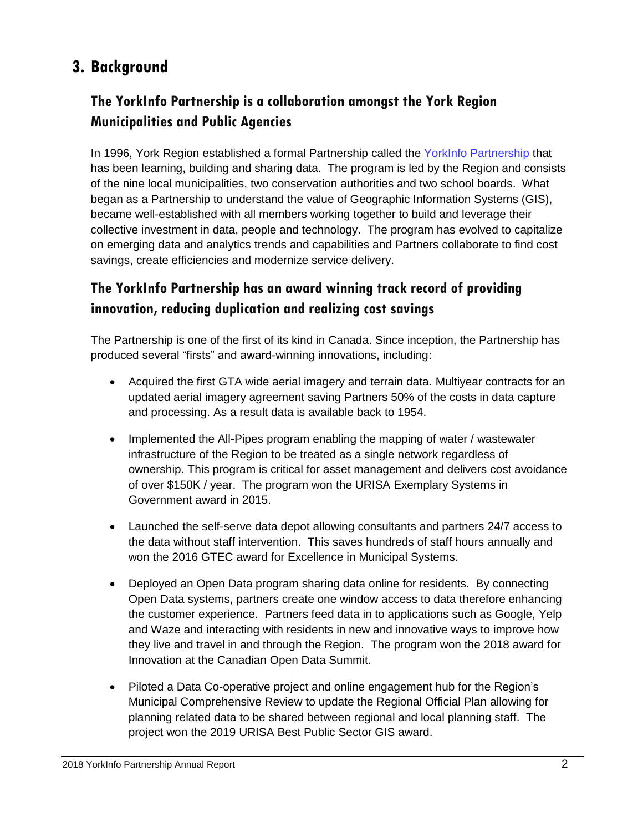# **3. Background**

## **The YorkInfo Partnership is a collaboration amongst the York Region Municipalities and Public Agencies**

In 1996, York Region established a formal Partnership called the [YorkInfo Partnership](https://yorkinfopartnership.com/) that has been learning, building and sharing data. The program is led by the Region and consists of the nine local municipalities, two conservation authorities and two school boards. What began as a Partnership to understand the value of Geographic Information Systems (GIS), became well-established with all members working together to build and leverage their collective investment in data, people and technology. The program has evolved to capitalize on emerging data and analytics trends and capabilities and Partners collaborate to find cost savings, create efficiencies and modernize service delivery.

## **The YorkInfo Partnership has an award winning track record of providing innovation, reducing duplication and realizing cost savings**

The Partnership is one of the first of its kind in Canada. Since inception, the Partnership has produced several "firsts" and award-winning innovations, including:

- Acquired the first GTA wide aerial imagery and terrain data. Multiyear contracts for an updated aerial imagery agreement saving Partners 50% of the costs in data capture and processing. As a result data is available back to 1954.
- Implemented the All-Pipes program enabling the mapping of water / wastewater infrastructure of the Region to be treated as a single network regardless of ownership. This program is critical for asset management and delivers cost avoidance of over \$150K / year. The program won the URISA Exemplary Systems in Government award in 2015.
- Launched the self-serve data depot allowing consultants and partners 24/7 access to the data without staff intervention. This saves hundreds of staff hours annually and won the 2016 GTEC award for Excellence in Municipal Systems.
- Deployed an Open Data program sharing data online for residents. By connecting Open Data systems, partners create one window access to data therefore enhancing the customer experience. Partners feed data in to applications such as Google, Yelp and Waze and interacting with residents in new and innovative ways to improve how they live and travel in and through the Region. The program won the 2018 award for Innovation at the Canadian Open Data Summit.
- Piloted a Data Co-operative project and online engagement hub for the Region's Municipal Comprehensive Review to update the Regional Official Plan allowing for planning related data to be shared between regional and local planning staff. The project won the 2019 URISA Best Public Sector GIS award.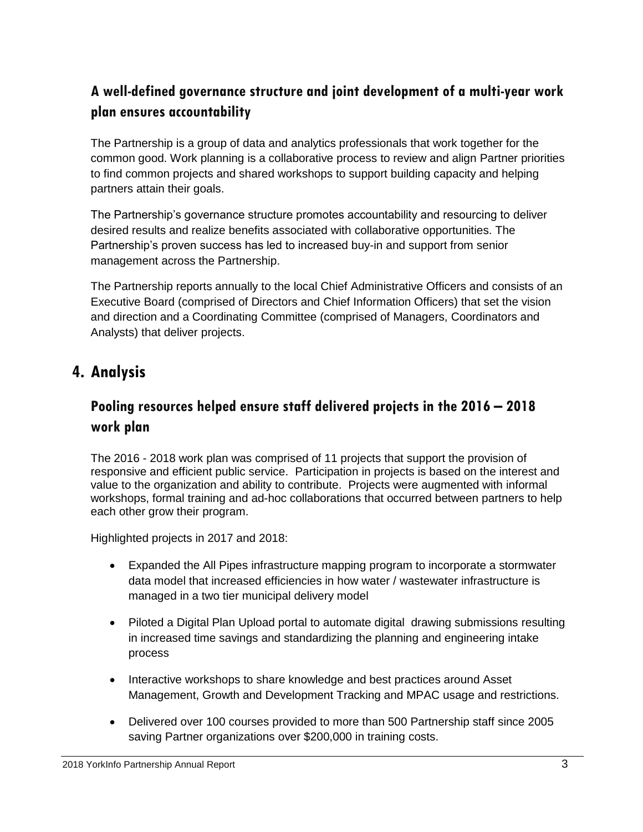## **A well-defined governance structure and joint development of a multi-year work plan ensures accountability**

The Partnership is a group of data and analytics professionals that work together for the common good. Work planning is a collaborative process to review and align Partner priorities to find common projects and shared workshops to support building capacity and helping partners attain their goals.

The Partnership's governance structure promotes accountability and resourcing to deliver desired results and realize benefits associated with collaborative opportunities. The Partnership's proven success has led to increased buy-in and support from senior management across the Partnership.

The Partnership reports annually to the local Chief Administrative Officers and consists of an Executive Board (comprised of Directors and Chief Information Officers) that set the vision and direction and a Coordinating Committee (comprised of Managers, Coordinators and Analysts) that deliver projects.

## **4. Analysis**

#### **Pooling resources helped ensure staff delivered projects in the 2016 – 2018 work plan**

The 2016 - 2018 work plan was comprised of 11 projects that support the provision of responsive and efficient public service. Participation in projects is based on the interest and value to the organization and ability to contribute. Projects were augmented with informal workshops, formal training and ad-hoc collaborations that occurred between partners to help each other grow their program.

Highlighted projects in 2017 and 2018:

- Expanded the All Pipes infrastructure mapping program to incorporate a stormwater data model that increased efficiencies in how water / wastewater infrastructure is managed in a two tier municipal delivery model
- Piloted a Digital Plan Upload portal to automate digital drawing submissions resulting in increased time savings and standardizing the planning and engineering intake process
- Interactive workshops to share knowledge and best practices around Asset Management, Growth and Development Tracking and MPAC usage and restrictions.
- Delivered over 100 courses provided to more than 500 Partnership staff since 2005 saving Partner organizations over \$200,000 in training costs.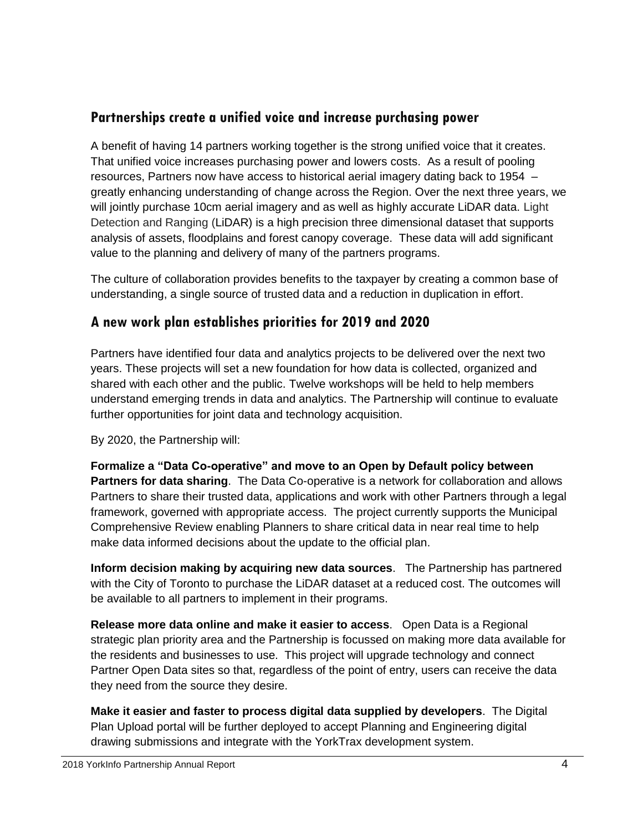#### **Partnerships create a unified voice and increase purchasing power**

A benefit of having 14 partners working together is the strong unified voice that it creates. That unified voice increases purchasing power and lowers costs. As a result of pooling resources, Partners now have access to historical aerial imagery dating back to 1954 – greatly enhancing understanding of change across the Region. Over the next three years, we will jointly purchase 10cm aerial imagery and as well as highly accurate LiDAR data. Light Detection and Ranging (LiDAR) is a high precision three dimensional dataset that supports analysis of assets, floodplains and forest canopy coverage. These data will add significant value to the planning and delivery of many of the partners programs.

The culture of collaboration provides benefits to the taxpayer by creating a common base of understanding, a single source of trusted data and a reduction in duplication in effort.

#### **A new work plan establishes priorities for 2019 and 2020**

Partners have identified four data and analytics projects to be delivered over the next two years. These projects will set a new foundation for how data is collected, organized and shared with each other and the public. Twelve workshops will be held to help members understand emerging trends in data and analytics. The Partnership will continue to evaluate further opportunities for joint data and technology acquisition.

By 2020, the Partnership will:

**Formalize a "Data Co-operative" and move to an Open by Default policy between Partners for data sharing**. The Data Co-operative is a network for collaboration and allows Partners to share their trusted data, applications and work with other Partners through a legal framework, governed with appropriate access. The project currently supports the Municipal Comprehensive Review enabling Planners to share critical data in near real time to help make data informed decisions about the update to the official plan.

**Inform decision making by acquiring new data sources**. The Partnership has partnered with the City of Toronto to purchase the LiDAR dataset at a reduced cost. The outcomes will be available to all partners to implement in their programs.

**Release more data online and make it easier to access**. Open Data is a Regional strategic plan priority area and the Partnership is focussed on making more data available for the residents and businesses to use. This project will upgrade technology and connect Partner Open Data sites so that, regardless of the point of entry, users can receive the data they need from the source they desire.

**Make it easier and faster to process digital data supplied by developers**. The Digital Plan Upload portal will be further deployed to accept Planning and Engineering digital drawing submissions and integrate with the YorkTrax development system.